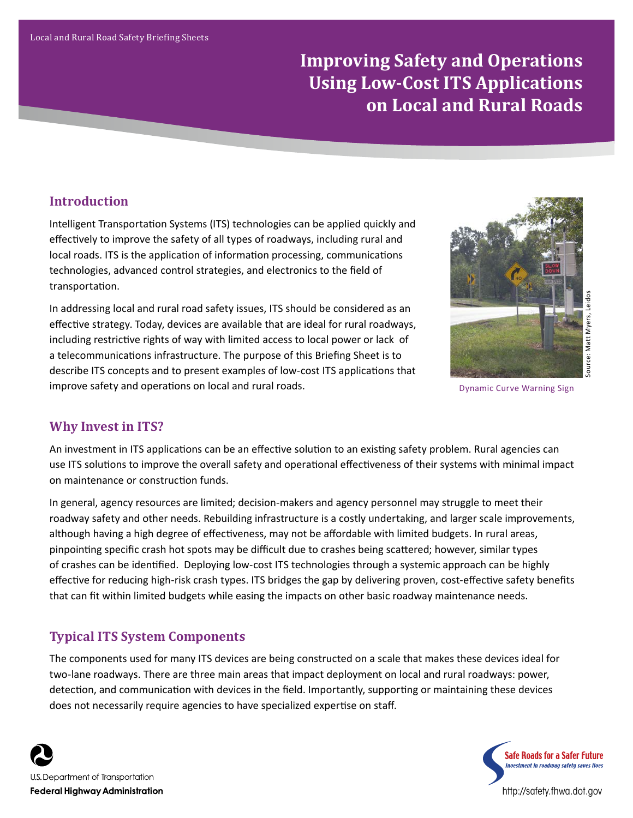# **Improving Safety and Operations Using Low-Cost ITS Applications on Local and Rural Roads**

### **Introduction**

Intelligent Transportation Systems (ITS) technologies can be applied quickly and effectively to improve the safety of all types of roadways, including rural and local roads. ITS is the application of information processing, communications technologies, advanced control strategies, and electronics to the field of transportation.

In addressing local and rural road safety issues, ITS should be considered as an effective strategy. Today, devices are available that are ideal for rural roadways, including restrictive rights of way with limited access to local power or lack of a telecommunications infrastructure. The purpose of this Briefing Sheet is to describe ITS concepts and to present examples of low-cost ITS applications that improve safety and operations on local and rural roads.



Dynamic Curve Warning Sign

# **Why Invest in ITS?**

An investment in ITS applications can be an effective solution to an existing safety problem. Rural agencies can use ITS solutions to improve the overall safety and operational effectiveness of their systems with minimal impact on maintenance or construction funds.

In general, agency resources are limited; decision-makers and agency personnel may struggle to meet their roadway safety and other needs. Rebuilding infrastructure is a costly undertaking, and larger scale improvements, although having a high degree of effectiveness, may not be affordable with limited budgets. In rural areas, pinpointing specific crash hot spots may be difficult due to crashes being scattered; however, similar types of crashes can be identified. Deploying low-cost ITS technologies through a systemic approach can be highly effective for reducing high-risk crash types. ITS bridges the gap by delivering proven, cost-effective safety benefits that can fit within limited budgets while easing the impacts on other basic roadway maintenance needs.

# **Typical ITS System Components**

The components used for many ITS devices are being constructed on a scale that makes these devices ideal for two-lane roadways. There are three main areas that impact deployment on local and rural roadways: power, detection, and communication with devices in the field. Importantly, supporting or maintaining these devices does not necessarily require agencies to have specialized expertise on staff.



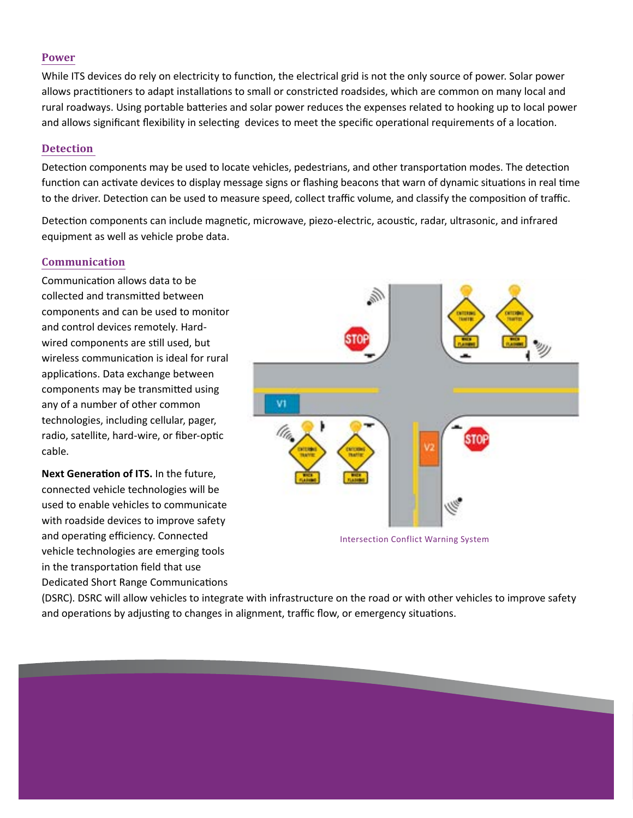#### **Power**

While ITS devices do rely on electricity to function, the electrical grid is not the only source of power. Solar power allows practitioners to adapt installations to small or constricted roadsides, which are common on many local and rural roadways. Using portable batteries and solar power reduces the expenses related to hooking up to local power and allows significant flexibility in selecting devices to meet the specific operational requirements of a location.

#### **Detection**

Detection components may be used to locate vehicles, pedestrians, and other transportation modes. The detection function can activate devices to display message signs or flashing beacons that warn of dynamic situations in real time to the driver. Detection can be used to measure speed, collect traffic volume, and classify the composition of traffic.

Detection components can include magnetic, microwave, piezo-electric, acoustic, radar, ultrasonic, and infrared equipment as well as vehicle probe data.

#### **Communication**

Communication allows data to be collected and transmitted between components and can be used to monitor and control devices remotely. Hardwired components are still used, but wireless communication is ideal for rural applications. Data exchange between components may be transmitted using any of a number of other common technologies, including cellular, pager, radio, satellite, hard-wire, or fiber-optic cable.

**Next Generation of ITS.** In the future, connected vehicle technologies will be used to enable vehicles to communicate with roadside devices to improve safety and operating efficiency. Connected vehicle technologies are emerging tools in the transportation field that use Dedicated Short Range Communications



Intersection Conflict Warning System

(DSRC). DSRC will allow vehicles to integrate with infrastructure on the road or with other vehicles to improve safety and operations by adjusting to changes in alignment, traffic flow, or emergency situations.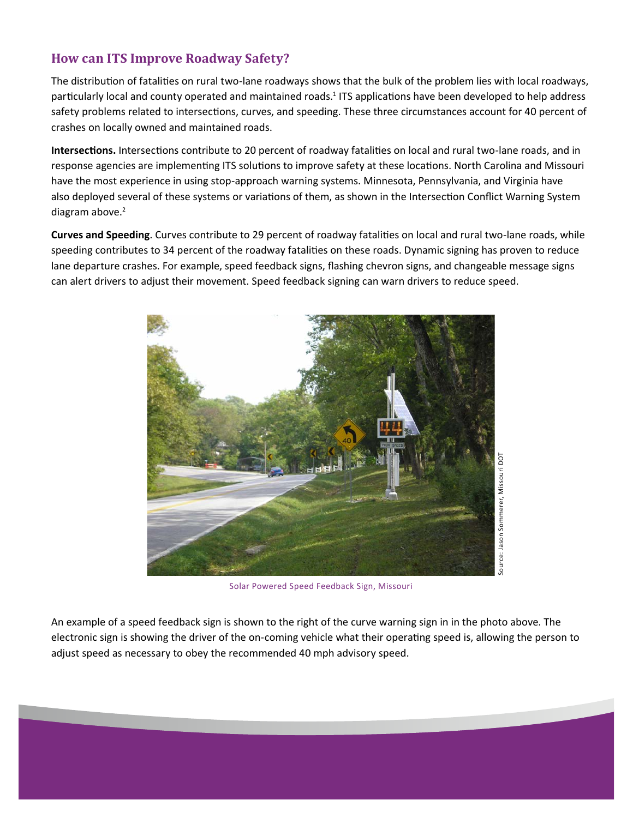# **How can ITS Improve Roadway Safety?**

The distribution of fatalities on rural two-lane roadways shows that the bulk of the problem lies with local roadways, particularly local and county operated and maintained roads.<sup>1</sup> ITS applications have been developed to help address safety problems related to intersections, curves, and speeding. These three circumstances account for 40 percent of crashes on locally owned and maintained roads.

**Intersections.** Intersections contribute to 20 percent of roadway fatalities on local and rural two-lane roads, and in response agencies are implementing ITS solutions to improve safety at these locations. North Carolina and Missouri have the most experience in using stop-approach warning systems. Minnesota, Pennsylvania, and Virginia have also deployed several of these systems or variations of them, as shown in the Intersection Conflict Warning System diagram above.<sup>2</sup>

**Curves and Speeding**. Curves contribute to 29 percent of roadway fatalities on local and rural two-lane roads, while speeding contributes to 34 percent of the roadway fatalities on these roads. Dynamic signing has proven to reduce lane departure crashes. For example, speed feedback signs, flashing chevron signs, and changeable message signs can alert drivers to adjust their movement. Speed feedback signing can warn drivers to reduce speed.



Solar Powered Speed Feedback Sign, Missouri

An example of a speed feedback sign is shown to the right of the curve warning sign in in the photo above. The electronic sign is showing the driver of the on-coming vehicle what their operating speed is, allowing the person to adjust speed as necessary to obey the recommended 40 mph advisory speed.